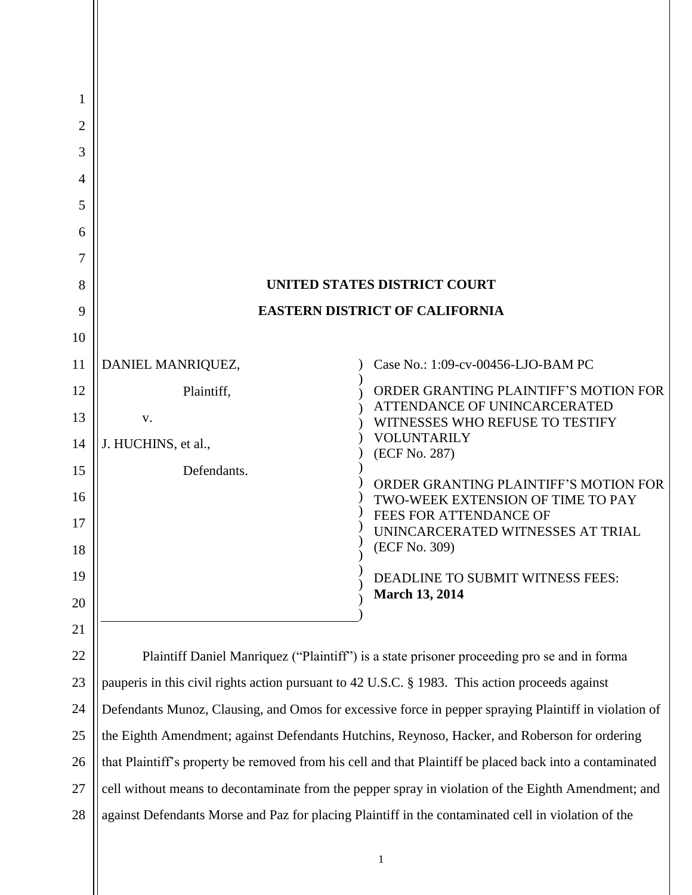| 1<br>2   |                                                                                                          |                                                                                                     |
|----------|----------------------------------------------------------------------------------------------------------|-----------------------------------------------------------------------------------------------------|
| 3        |                                                                                                          |                                                                                                     |
| 4        |                                                                                                          |                                                                                                     |
| 5        |                                                                                                          |                                                                                                     |
| 6        |                                                                                                          |                                                                                                     |
| 7        |                                                                                                          |                                                                                                     |
| 8        | UNITED STATES DISTRICT COURT                                                                             |                                                                                                     |
| 9        | <b>EASTERN DISTRICT OF CALIFORNIA</b>                                                                    |                                                                                                     |
| 10       |                                                                                                          |                                                                                                     |
| 11       | DANIEL MANRIQUEZ,                                                                                        | Case No.: 1:09-cv-00456-LJO-BAM PC                                                                  |
| 12       | Plaintiff,                                                                                               | ORDER GRANTING PLAINTIFF'S MOTION FOR<br>ATTENDANCE OF UNINCARCERATED                               |
| 13       | V.                                                                                                       | WITNESSES WHO REFUSE TO TESTIFY<br><b>VOLUNTARILY</b>                                               |
| 14       | J. HUCHINS, et al.,                                                                                      | (ECF No. 287)                                                                                       |
| 15       | Defendants.                                                                                              | ORDER GRANTING PLAINTIFF'S MOTION FOR                                                               |
| 16<br>17 |                                                                                                          | TWO-WEEK EXTENSION OF TIME TO PAY<br>FEES FOR ATTENDANCE OF<br>UNINCARCERATED WITNESSES AT TRIAL    |
| 18       |                                                                                                          | (ECF No. 309)                                                                                       |
| 19       |                                                                                                          | DEADLINE TO SUBMIT WITNESS FEES:                                                                    |
| 20       |                                                                                                          | <b>March 13, 2014</b>                                                                               |
| 21       |                                                                                                          |                                                                                                     |
| 22       | Plaintiff Daniel Manriquez ("Plaintiff") is a state prisoner proceeding pro se and in forma              |                                                                                                     |
| 23       | pauperis in this civil rights action pursuant to 42 U.S.C. § 1983. This action proceeds against          |                                                                                                     |
| 24       | Defendants Munoz, Clausing, and Omos for excessive force in pepper spraying Plaintiff in violation of    |                                                                                                     |
| 25       | the Eighth Amendment; against Defendants Hutchins, Reynoso, Hacker, and Roberson for ordering            |                                                                                                     |
| 26       | that Plaintiff's property be removed from his cell and that Plaintiff be placed back into a contaminated |                                                                                                     |
| 27       | cell without means to decontaminate from the pepper spray in violation of the Eighth Amendment; and      |                                                                                                     |
| 28       |                                                                                                          | against Defendants Morse and Paz for placing Plaintiff in the contaminated cell in violation of the |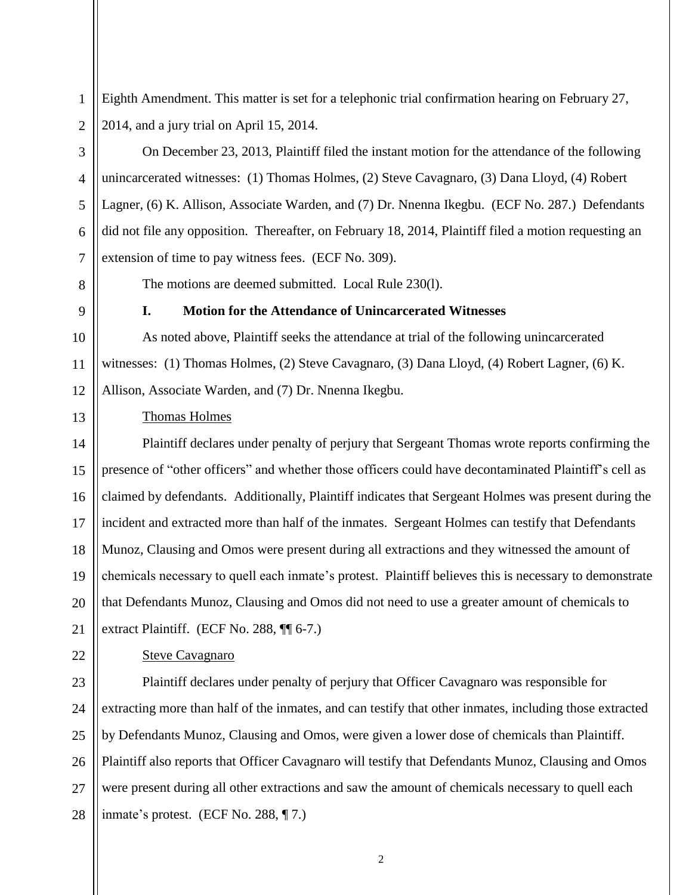Eighth Amendment. This matter is set for a telephonic trial confirmation hearing on February 27, 2014, and a jury trial on April 15, 2014.

On December 23, 2013, Plaintiff filed the instant motion for the attendance of the following unincarcerated witnesses: (1) Thomas Holmes, (2) Steve Cavagnaro, (3) Dana Lloyd, (4) Robert Lagner, (6) K. Allison, Associate Warden, and (7) Dr. Nnenna Ikegbu. (ECF No. 287.) Defendants did not file any opposition. Thereafter, on February 18, 2014, Plaintiff filed a motion requesting an extension of time to pay witness fees. (ECF No. 309).

The motions are deemed submitted. Local Rule 230(l).

1

2

3

4

5

6

7

8

9

10

11

12

### **I. Motion for the Attendance of Unincarcerated Witnesses**

As noted above, Plaintiff seeks the attendance at trial of the following unincarcerated witnesses: (1) Thomas Holmes, (2) Steve Cavagnaro, (3) Dana Lloyd, (4) Robert Lagner, (6) K. Allison, Associate Warden, and (7) Dr. Nnenna Ikegbu.

13

### Thomas Holmes

14 15 16 17 18 19 20 21 Plaintiff declares under penalty of perjury that Sergeant Thomas wrote reports confirming the presence of "other officers" and whether those officers could have decontaminated Plaintiff's cell as claimed by defendants. Additionally, Plaintiff indicates that Sergeant Holmes was present during the incident and extracted more than half of the inmates. Sergeant Holmes can testify that Defendants Munoz, Clausing and Omos were present during all extractions and they witnessed the amount of chemicals necessary to quell each inmate's protest. Plaintiff believes this is necessary to demonstrate that Defendants Munoz, Clausing and Omos did not need to use a greater amount of chemicals to extract Plaintiff. (ECF No. 288, ¶¶ 6-7.)

22

# Steve Cavagnaro

23 24 25 26 27 28 Plaintiff declares under penalty of perjury that Officer Cavagnaro was responsible for extracting more than half of the inmates, and can testify that other inmates, including those extracted by Defendants Munoz, Clausing and Omos, were given a lower dose of chemicals than Plaintiff. Plaintiff also reports that Officer Cavagnaro will testify that Defendants Munoz, Clausing and Omos were present during all other extractions and saw the amount of chemicals necessary to quell each inmate's protest. (ECF No. 288, ¶ 7.)

2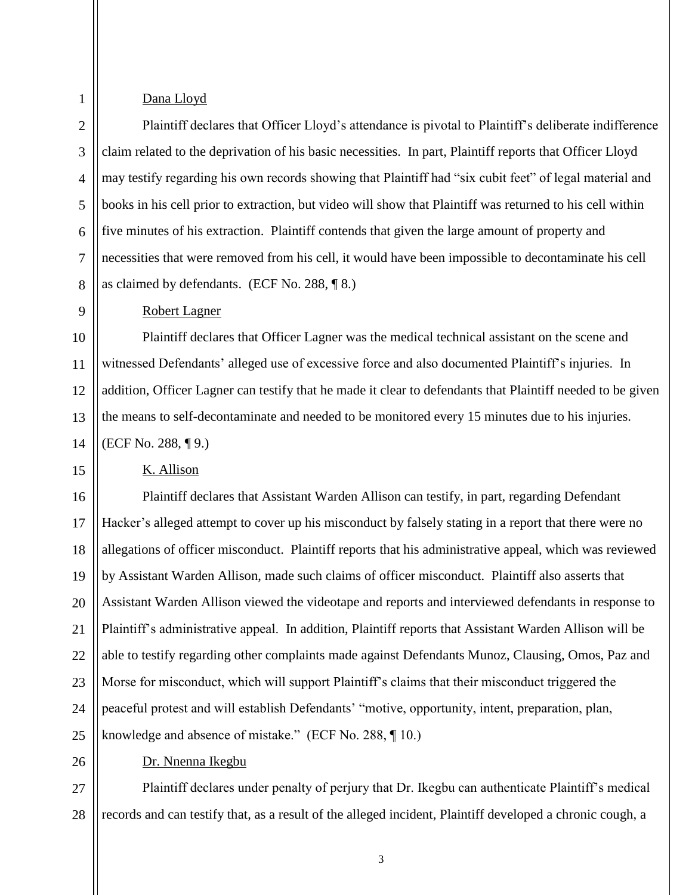## Dana Lloyd

1

9

15

2 3 4 5 6 7 8 Plaintiff declares that Officer Lloyd's attendance is pivotal to Plaintiff's deliberate indifference claim related to the deprivation of his basic necessities. In part, Plaintiff reports that Officer Lloyd may testify regarding his own records showing that Plaintiff had "six cubit feet" of legal material and books in his cell prior to extraction, but video will show that Plaintiff was returned to his cell within five minutes of his extraction. Plaintiff contends that given the large amount of property and necessities that were removed from his cell, it would have been impossible to decontaminate his cell as claimed by defendants. (ECF No. 288, ¶ 8.)

Robert Lagner

10 11 12 13 14 Plaintiff declares that Officer Lagner was the medical technical assistant on the scene and witnessed Defendants' alleged use of excessive force and also documented Plaintiff's injuries. In addition, Officer Lagner can testify that he made it clear to defendants that Plaintiff needed to be given the means to self-decontaminate and needed to be monitored every 15 minutes due to his injuries. (ECF No. 288, ¶ 9.)

K. Allison

16 17 18 19 20 21 22 23 24 25 Plaintiff declares that Assistant Warden Allison can testify, in part, regarding Defendant Hacker's alleged attempt to cover up his misconduct by falsely stating in a report that there were no allegations of officer misconduct. Plaintiff reports that his administrative appeal, which was reviewed by Assistant Warden Allison, made such claims of officer misconduct. Plaintiff also asserts that Assistant Warden Allison viewed the videotape and reports and interviewed defendants in response to Plaintiff's administrative appeal. In addition, Plaintiff reports that Assistant Warden Allison will be able to testify regarding other complaints made against Defendants Munoz, Clausing, Omos, Paz and Morse for misconduct, which will support Plaintiff's claims that their misconduct triggered the peaceful protest and will establish Defendants' "motive, opportunity, intent, preparation, plan, knowledge and absence of mistake." (ECF No. 288, ¶ 10.)

26

Dr. Nnenna Ikegbu

27 28 Plaintiff declares under penalty of perjury that Dr. Ikegbu can authenticate Plaintiff's medical records and can testify that, as a result of the alleged incident, Plaintiff developed a chronic cough, a

3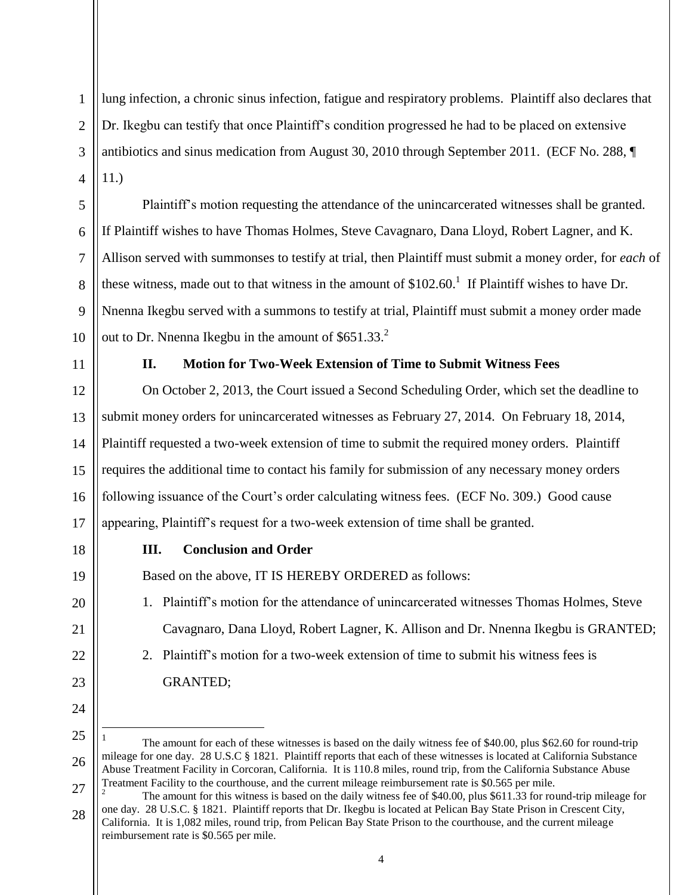1 2 3 4 5 lung infection, a chronic sinus infection, fatigue and respiratory problems. Plaintiff also declares that Dr. Ikegbu can testify that once Plaintiff's condition progressed he had to be placed on extensive antibiotics and sinus medication from August 30, 2010 through September 2011. (ECF No. 288, ¶ 11.) Plaintiff's motion requesting the attendance of the unincarcerated witnesses shall be granted.

If Plaintiff wishes to have Thomas Holmes, Steve Cavagnaro, Dana Lloyd, Robert Lagner, and K. Allison served with summonses to testify at trial, then Plaintiff must submit a money order, for *each* of these witness, made out to that witness in the amount of  $$102.60$ .<sup>1</sup> If Plaintiff wishes to have Dr. Nnenna Ikegbu served with a summons to testify at trial, Plaintiff must submit a money order made out to Dr. Nnenna Ikegbu in the amount of  $$651.33<sup>2</sup>$ 

11

6

7

8

9

10

### **II. Motion for Two-Week Extension of Time to Submit Witness Fees**

12 13 14 15 16 17 On October 2, 2013, the Court issued a Second Scheduling Order, which set the deadline to submit money orders for unincarcerated witnesses as February 27, 2014. On February 18, 2014, Plaintiff requested a two-week extension of time to submit the required money orders. Plaintiff requires the additional time to contact his family for submission of any necessary money orders following issuance of the Court's order calculating witness fees. (ECF No. 309.) Good cause appearing, Plaintiff's request for a two-week extension of time shall be granted.

18 19

20

21

22

23

24

 $\overline{a}$ 

### **III. Conclusion and Order**

Based on the above, IT IS HEREBY ORDERED as follows:

- 1. Plaintiff's motion for the attendance of unincarcerated witnesses Thomas Holmes, Steve Cavagnaro, Dana Lloyd, Robert Lagner, K. Allison and Dr. Nnenna Ikegbu is GRANTED;
- 2. Plaintiff's motion for a two-week extension of time to submit his witness fees is GRANTED;

<sup>25</sup> 26 27 1 The amount for each of these witnesses is based on the daily witness fee of \$40.00, plus \$62.60 for round-trip mileage for one day. 28 U.S.C § 1821. Plaintiff reports that each of these witnesses is located at California Substance Abuse Treatment Facility in Corcoran, California. It is 110.8 miles, round trip, from the California Substance Abuse Treatment Facility to the courthouse, and the current mileage reimbursement rate is \$0.565 per mile.

<sup>28</sup> <sup>2</sup> The amount for this witness is based on the daily witness fee of \$40.00, plus \$611.33 for round-trip mileage for one day. 28 U.S.C. § 1821. Plaintiff reports that Dr. Ikegbu is located at Pelican Bay State Prison in Crescent City, California. It is 1,082 miles, round trip, from Pelican Bay State Prison to the courthouse, and the current mileage reimbursement rate is \$0.565 per mile.